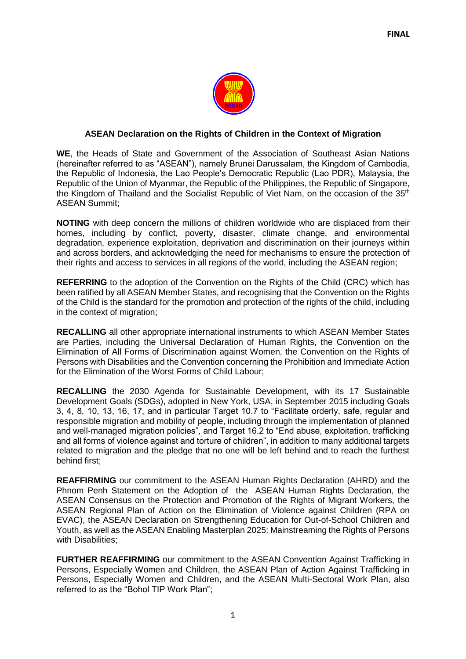

## **ASEAN Declaration on the Rights of Children in the Context of Migration**

**WE**, the Heads of State and Government of the Association of Southeast Asian Nations (hereinafter referred to as "ASEAN"), namely Brunei Darussalam, the Kingdom of Cambodia, the Republic of Indonesia, the Lao People's Democratic Republic (Lao PDR), Malaysia, the Republic of the Union of Myanmar, the Republic of the Philippines, the Republic of Singapore, the Kingdom of Thailand and the Socialist Republic of Viet Nam, on the occasion of the 35<sup>th</sup> ASEAN Summit;

**NOTING** with deep concern the millions of children worldwide who are displaced from their homes, including by conflict, poverty, disaster, climate change, and environmental degradation, experience exploitation, deprivation and discrimination on their journeys within and across borders, and acknowledging the need for mechanisms to ensure the protection of their rights and access to services in all regions of the world, including the ASEAN region;

**REFERRING** to the adoption of the Convention on the Rights of the Child (CRC) which has been ratified by all ASEAN Member States, and recognising that the Convention on the Rights of the Child is the standard for the promotion and protection of the rights of the child, including in the context of migration;

**RECALLING** all other appropriate international instruments to which ASEAN Member States are Parties, including the Universal Declaration of Human Rights, the Convention on the Elimination of All Forms of Discrimination against Women, the Convention on the Rights of Persons with Disabilities and the Convention concerning the Prohibition and Immediate Action for the Elimination of the Worst Forms of Child Labour;

**RECALLING** the 2030 Agenda for Sustainable Development, with its 17 Sustainable Development Goals (SDGs), adopted in New York, USA, in September 2015 including Goals 3, 4, 8, 10, 13, 16, 17, and in particular Target 10.7 to "Facilitate orderly, safe, regular and responsible migration and mobility of people, including through the implementation of planned and well-managed migration policies", and Target 16.2 to "End abuse, exploitation, trafficking and all forms of violence against and torture of children", in addition to many additional targets related to migration and the pledge that no one will be left behind and to reach the furthest behind first;

**REAFFIRMING** our commitment to the ASEAN Human Rights Declaration (AHRD) and the Phnom Penh Statement on the Adoption of the ASEAN Human Rights Declaration, the ASEAN Consensus on the Protection and Promotion of the Rights of Migrant Workers, the ASEAN Regional Plan of Action on the Elimination of Violence against Children (RPA on EVAC), the ASEAN Declaration on Strengthening Education for Out-of-School Children and Youth, as well as the ASEAN Enabling Masterplan 2025: Mainstreaming the Rights of Persons with Disabilities:

**FURTHER REAFFIRMING** our commitment to the ASEAN Convention Against Trafficking in Persons, Especially Women and Children, the ASEAN Plan of Action Against Trafficking in Persons, Especially Women and Children, and the ASEAN Multi-Sectoral Work Plan, also referred to as the "Bohol TIP Work Plan";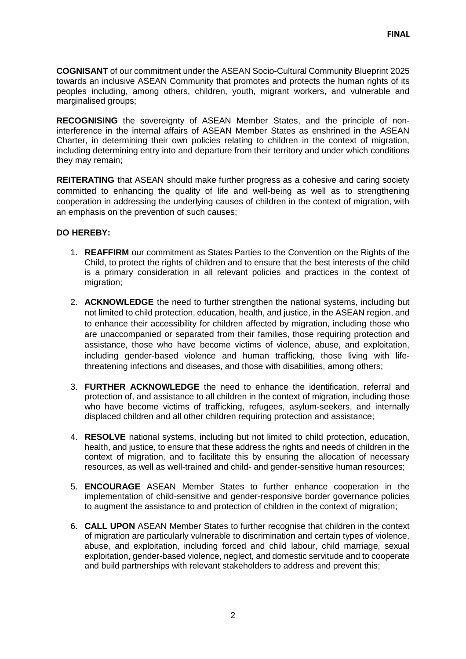**COGNISANT** of our commitment under the ASEAN Socio-Cultural Community Blueprint 2025 towards an inclusive ASEAN Community that promotes and protects the human rights of its peoples including, among others, children, youth, migrant workers, and vulnerable and marginalised groups;

**RECOGNISING** the sovereignty of ASEAN Member States, and the principle of noninterference in the internal affairs of ASEAN Member States as enshrined in the ASEAN Charter, in determining their own policies relating to children in the context of migration, including determining entry into and departure from their territory and under which conditions they may remain;

**REITERATING** that ASEAN should make further progress as a cohesive and caring society committed to enhancing the quality of life and well-being as well as to strengthening cooperation in addressing the underlying causes of children in the context of migration, with an emphasis on the prevention of such causes;

## **DO HEREBY:**

- 1. **REAFFIRM** our commitment as States Parties to the Convention on the Rights of the Child, to protect the rights of children and to ensure that the best interests of the child is a primary consideration in all relevant policies and practices in the context of migration;
- 2. **ACKNOWLEDGE** the need to further strengthen the national systems, including but not limited to child protection, education, health, and justice, in the ASEAN region, and to enhance their accessibility for children affected by migration, including those who are unaccompanied or separated from their families, those requiring protection and assistance, those who have become victims of violence, abuse, and exploitation, including gender-based violence and human trafficking, those living with lifethreatening infections and diseases, and those with disabilities, among others;
- 3. **FURTHER ACKNOWLEDGE** the need to enhance the identification, referral and protection of, and assistance to all children in the context of migration, including those who have become victims of trafficking, refugees, asylum-seekers, and internally displaced children and all other children requiring protection and assistance;
- 4. **RESOLVE** national systems, including but not limited to child protection, education, health, and justice, to ensure that these address the rights and needs of children in the context of migration, and to facilitate this by ensuring the allocation of necessary resources, as well as well-trained and child- and gender-sensitive human resources;
- 5. **ENCOURAGE** ASEAN Member States to further enhance cooperation in the implementation of child-sensitive and gender-responsive border governance policies to augment the assistance to and protection of children in the context of migration;
- 6. **CALL UPON** ASEAN Member States to further recognise that children in the context of migration are particularly vulnerable to discrimination and certain types of violence, abuse, and exploitation, including forced and child labour, child marriage, sexual exploitation, gender-based violence, neglect, and domestic servitude and to cooperate and build partnerships with relevant stakeholders to address and prevent this;